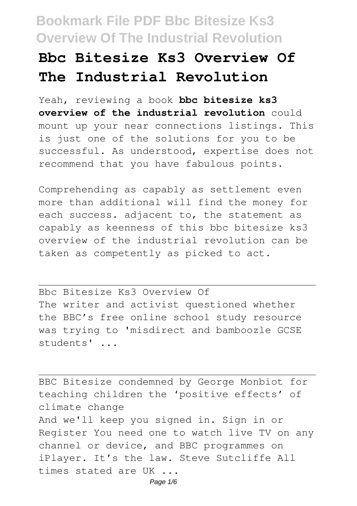## **Bbc Bitesize Ks3 Overview Of The Industrial Revolution**

Yeah, reviewing a book **bbc bitesize ks3 overview of the industrial revolution** could mount up your near connections listings. This is just one of the solutions for you to be successful. As understood, expertise does not recommend that you have fabulous points.

Comprehending as capably as settlement even more than additional will find the money for each success. adjacent to, the statement as capably as keenness of this bbc bitesize ks3 overview of the industrial revolution can be taken as competently as picked to act.

Bbc Bitesize Ks3 Overview Of The writer and activist questioned whether the BBC's free online school study resource was trying to 'misdirect and bamboozle GCSE students' ...

BBC Bitesize condemned by George Monbiot for teaching children the 'positive effects' of climate change And we'll keep you signed in. Sign in or Register You need one to watch live TV on any channel or device, and BBC programmes on iPlayer. It's the law. Steve Sutcliffe All times stated are UK ... Page  $1/6$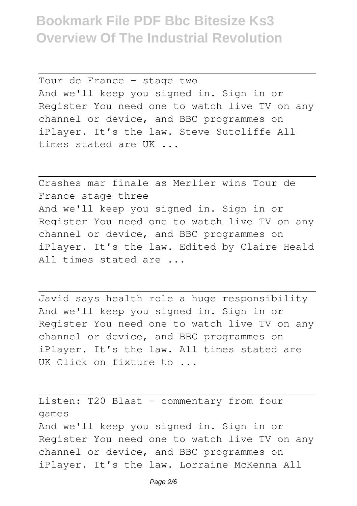Tour de France - stage two And we'll keep you signed in. Sign in or Register You need one to watch live TV on any channel or device, and BBC programmes on iPlayer. It's the law. Steve Sutcliffe All times stated are UK ...

Crashes mar finale as Merlier wins Tour de France stage three And we'll keep you signed in. Sign in or Register You need one to watch live TV on any channel or device, and BBC programmes on iPlayer. It's the law. Edited by Claire Heald All times stated are ...

Javid says health role a huge responsibility And we'll keep you signed in. Sign in or Register You need one to watch live TV on any channel or device, and BBC programmes on iPlayer. It's the law. All times stated are UK Click on fixture to ...

Listen: T20 Blast - commentary from four games And we'll keep you signed in. Sign in or Register You need one to watch live TV on any channel or device, and BBC programmes on iPlayer. It's the law. Lorraine McKenna All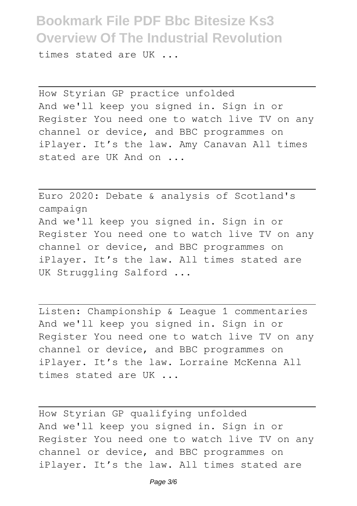times stated are UK ...

How Styrian GP practice unfolded And we'll keep you signed in. Sign in or Register You need one to watch live TV on any channel or device, and BBC programmes on iPlayer. It's the law. Amy Canavan All times stated are UK And on ...

Euro 2020: Debate & analysis of Scotland's campaign And we'll keep you signed in. Sign in or Register You need one to watch live TV on any channel or device, and BBC programmes on iPlayer. It's the law. All times stated are UK Struggling Salford ...

Listen: Championship & League 1 commentaries And we'll keep you signed in. Sign in or Register You need one to watch live TV on any channel or device, and BBC programmes on iPlayer. It's the law. Lorraine McKenna All times stated are UK ...

How Styrian GP qualifying unfolded And we'll keep you signed in. Sign in or Register You need one to watch live TV on any channel or device, and BBC programmes on iPlayer. It's the law. All times stated are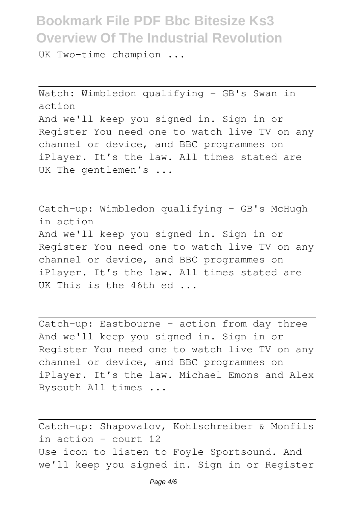UK Two-time champion ...

Watch: Wimbledon qualifying - GB's Swan in action And we'll keep you signed in. Sign in or Register You need one to watch live TV on any channel or device, and BBC programmes on iPlayer. It's the law. All times stated are UK The gentlemen's ...

Catch-up: Wimbledon qualifying - GB's McHugh in action And we'll keep you signed in. Sign in or Register You need one to watch live TV on any channel or device, and BBC programmes on iPlayer. It's the law. All times stated are UK This is the 46th ed ...

Catch-up: Eastbourne - action from day three And we'll keep you signed in. Sign in or Register You need one to watch live TV on any channel or device, and BBC programmes on iPlayer. It's the law. Michael Emons and Alex Bysouth All times ...

Catch-up: Shapovalov, Kohlschreiber & Monfils in action - court 12 Use icon to listen to Foyle Sportsound. And we'll keep you signed in. Sign in or Register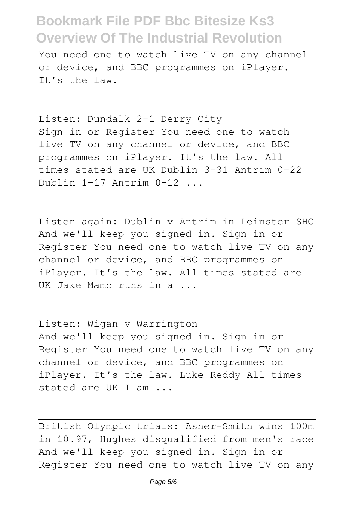You need one to watch live TV on any channel or device, and BBC programmes on iPlayer. It's the law.

Listen: Dundalk 2-1 Derry City Sign in or Register You need one to watch live TV on any channel or device, and BBC programmes on iPlayer. It's the law. All times stated are UK Dublin 3-31 Antrim 0-22 Dublin  $1-17$  Antrim  $0-12$ ,

Listen again: Dublin v Antrim in Leinster SHC And we'll keep you signed in. Sign in or Register You need one to watch live TV on any channel or device, and BBC programmes on iPlayer. It's the law. All times stated are UK Jake Mamo runs in a ...

Listen: Wigan v Warrington And we'll keep you signed in. Sign in or Register You need one to watch live TV on any channel or device, and BBC programmes on iPlayer. It's the law. Luke Reddy All times stated are UK I am ...

British Olympic trials: Asher-Smith wins 100m in 10.97, Hughes disqualified from men's race And we'll keep you signed in. Sign in or Register You need one to watch live TV on any